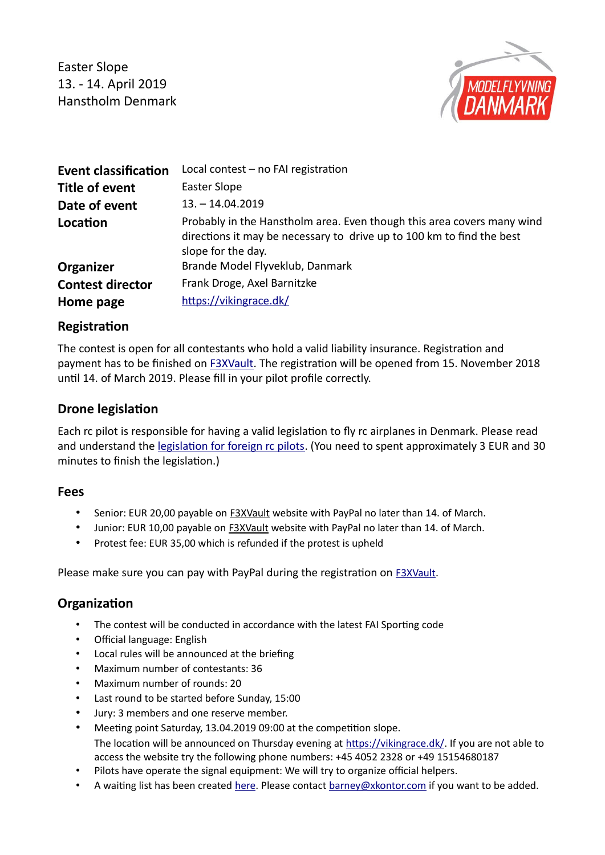Easter Slope 13. - 14. April 2019 Hanstholm Denmark



| <b>Event classification</b> | Local contest - no FAI registration                                                                                                                                   |
|-----------------------------|-----------------------------------------------------------------------------------------------------------------------------------------------------------------------|
| <b>Title of event</b>       | Easter Slope                                                                                                                                                          |
| Date of event               | $13. - 14.04.2019$                                                                                                                                                    |
| Location                    | Probably in the Hanstholm area. Even though this area covers many wind<br>directions it may be necessary to drive up to 100 km to find the best<br>slope for the day. |
| Organizer                   | Brande Model Flyveklub, Danmark                                                                                                                                       |
| <b>Contest director</b>     | Frank Droge, Axel Barnitzke                                                                                                                                           |
| Home page                   | https://vikingrace.dk/                                                                                                                                                |

# **Registration**

The contest is open for all contestants who hold a valid liability insurance. Registration and payment has to be finished on [F3XVault.](https://f3xvault.com/?action=event&function=event_view&event_id=1397) The registraton will be opened from 15. November 2018 until 14. of March 2019. Please fill in your pilot profile correctly.

# **Drone legislation**

Each rc pilot is responsible for having a valid legislaton to fy rc airplanes in Denmark. Please read and understand the legislation for foreign rc pilots. (You need to spent approximately 3 EUR and 30 minutes to finish the legislation.)

### **Fees**

- Senior: EUR 20,00 payable on **F3XVault** website with PayPal no later than 14. of March.
- Junior: EUR 10,00 payable on [F3XVault](https://f3xvault.com/?action=event&function=event_view&event_id=1397) website with PayPal no later than 14. of March.
- Protest fee: EUR 35,00 which is refunded if the protest is upheld

Please make sure you can pay with PayPal during the registration on [F3XVault.](https://f3xvault.com/?action=event&function=event_view&event_id=1397)

### **Organization**

- The contest will be conducted in accordance with the latest FAI Sporting code
- Official language: English
- Local rules will be announced at the briefing
- Maximum number of contestants: 36
- Maximum number of rounds: 20
- Last round to be started before Sunday, 15:00
- Jury: 3 members and one reserve member.
- Meeting point Saturday, 13.04.2019 09:00 at the competition slope. The location will be announced on Thursday evening at [https://vikingrace.dk/.](https://vikingrace.dk/) If you are not able to access the website try the following phone numbers: +45 4052 2328 or +49 15154680187
- Pilots have operate the signal equipment: We will try to organize official helpers.
- A waiting list has been created [here.](https://docs.google.com/spreadsheets/d/1qaicOh6CuMPT0YPShYhYIqP_8DmzHurbb0HIfIvjEZo/edit?usp=sharing) Please contact [barney@xkontor.com](mailto:barney@xkontor.com) if you want to be added.